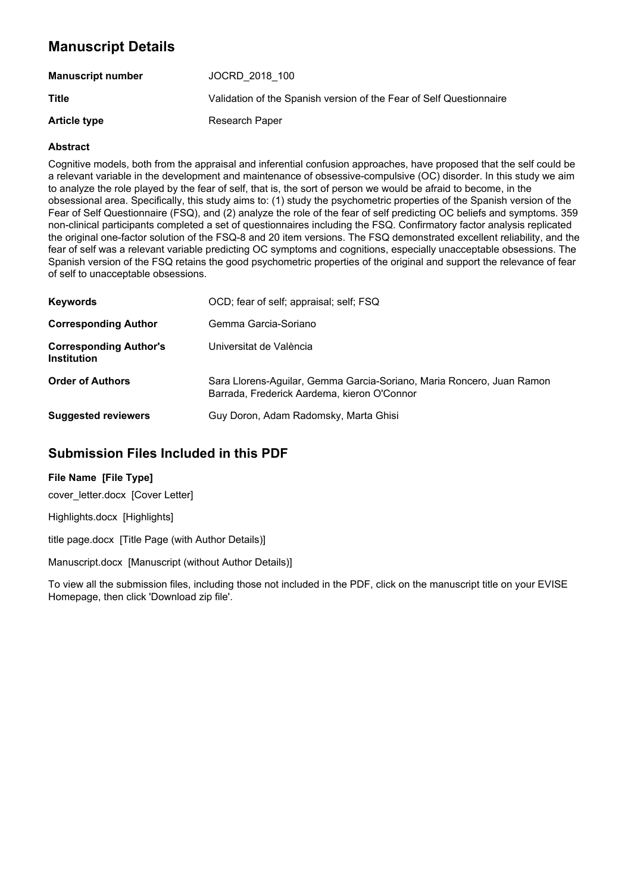# **Manuscript Details**

| <b>Manuscript number</b> | JOCRD 2018 100                                                      |
|--------------------------|---------------------------------------------------------------------|
| Title                    | Validation of the Spanish version of the Fear of Self Questionnaire |
| <b>Article type</b>      | Research Paper                                                      |

#### **Abstract**

Cognitive models, both from the appraisal and inferential confusion approaches, have proposed that the self could be a relevant variable in the development and maintenance of obsessive-compulsive (OC) disorder. In this study we aim to analyze the role played by the fear of self, that is, the sort of person we would be afraid to become, in the obsessional area. Specifically, this study aims to: (1) study the psychometric properties of the Spanish version of the Fear of Self Questionnaire (FSQ), and (2) analyze the role of the fear of self predicting OC beliefs and symptoms. 359 non-clinical participants completed a set of questionnaires including the FSQ. Confirmatory factor analysis replicated the original one-factor solution of the FSQ-8 and 20 item versions. The FSQ demonstrated excellent reliability, and the fear of self was a relevant variable predicting OC symptoms and cognitions, especially unacceptable obsessions. The Spanish version of the FSQ retains the good psychometric properties of the original and support the relevance of fear of self to unacceptable obsessions.

| <b>Keywords</b>                                     | OCD; fear of self; appraisal; self; FSQ                                                                              |
|-----------------------------------------------------|----------------------------------------------------------------------------------------------------------------------|
| <b>Corresponding Author</b>                         | Gemma Garcia-Soriano                                                                                                 |
| <b>Corresponding Author's</b><br><b>Institution</b> | Universitat de València                                                                                              |
| <b>Order of Authors</b>                             | Sara Llorens-Aguilar, Gemma Garcia-Soriano, Maria Roncero, Juan Ramon<br>Barrada, Frederick Aardema, kieron O'Connor |
| <b>Suggested reviewers</b>                          | Guy Doron, Adam Radomsky, Marta Ghisi                                                                                |

# **Submission Files Included in this PDF**

#### **File Name [File Type]**

cover\_letter.docx [Cover Letter]

Highlights.docx [Highlights]

title page.docx [Title Page (with Author Details)]

Manuscript.docx [Manuscript (without Author Details)]

To view all the submission files, including those not included in the PDF, click on the manuscript title on your EVISE Homepage, then click 'Download zip file'.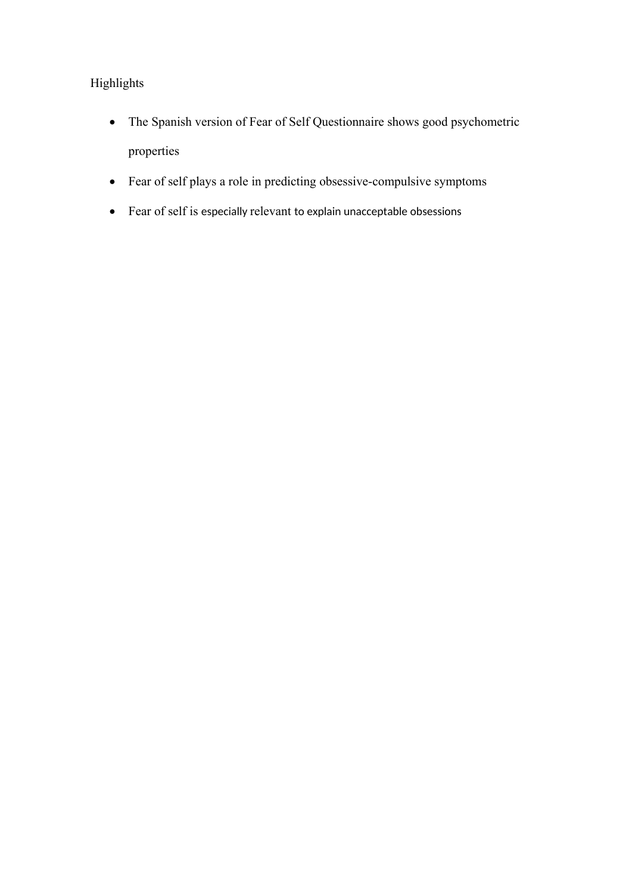# Highlights

- The Spanish version of Fear of Self Questionnaire shows good psychometric properties
- Fear of self plays a role in predicting obsessive-compulsive symptoms
- Fear of self is especially relevant to explain unacceptable obsessions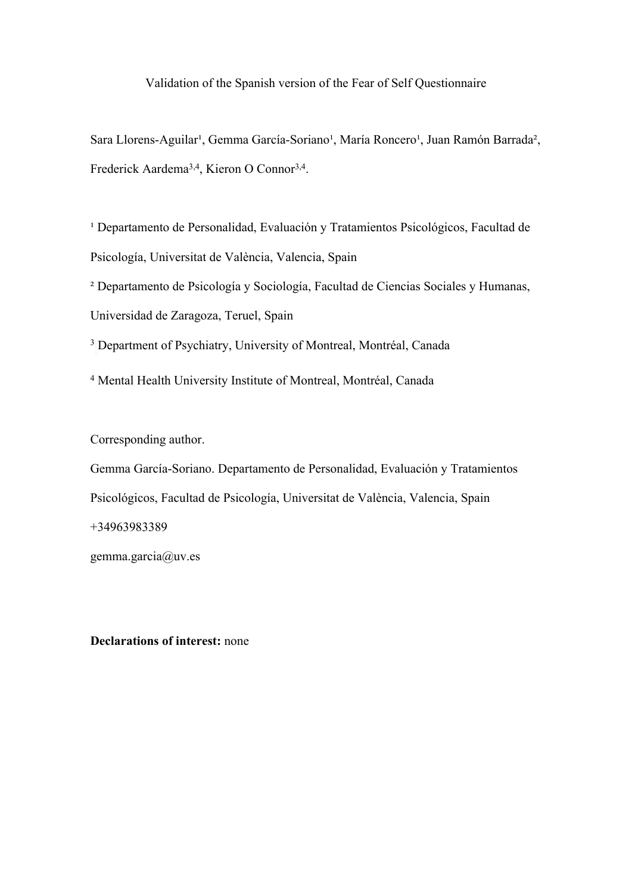### Validation of the Spanish version of the Fear of Self Questionnaire

Sara Llorens-Aguilar<sup>1</sup>, Gemma García-Soriano<sup>1</sup>, María Roncero<sup>1</sup>, Juan Ramón Barrada<sup>2</sup>, Frederick Aardema<sup>3,4</sup>, Kieron O Connor<sup>3,4</sup>.

<sup>1</sup> Departamento de Personalidad, Evaluación y Tratamientos Psicológicos, Facultad de Psicología, Universitat de València, Valencia, Spain

² Departamento de Psicología y Sociología, Facultad de Ciencias Sociales y Humanas, Universidad de Zaragoza, Teruel, Spain

<sup>3</sup> Department of Psychiatry, University of Montreal, Montréal, Canada

4 Mental Health University Institute of Montreal, Montréal, Canada

Corresponding author.

Gemma García-Soriano. Departamento de Personalidad, Evaluación y Tratamientos Psicológicos, Facultad de Psicología, Universitat de València, Valencia, Spain +34963983389 gemma.garcia@uv.es

**Declarations of interest:** none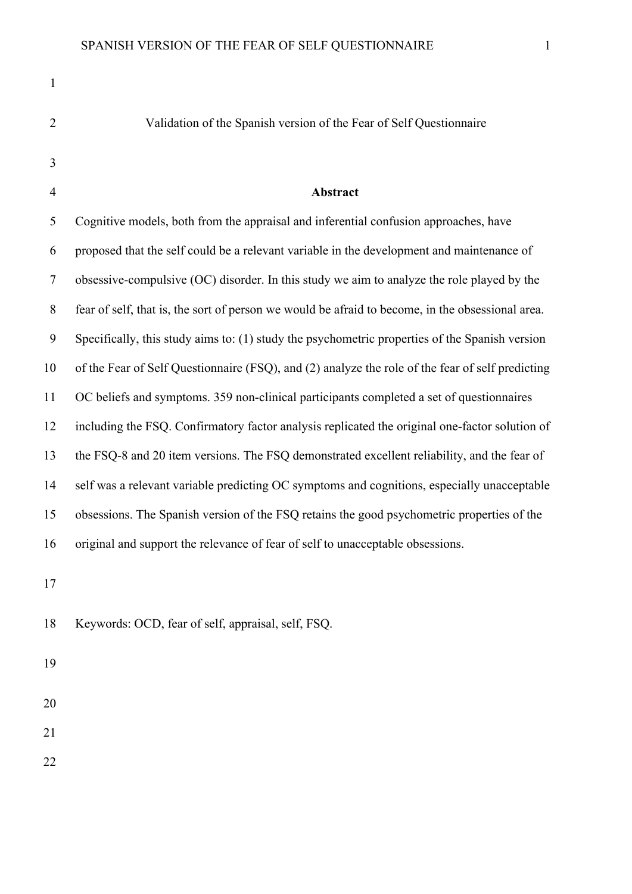| $\mathbf{1}$   |                                                                                                  |
|----------------|--------------------------------------------------------------------------------------------------|
| $\overline{2}$ | Validation of the Spanish version of the Fear of Self Questionnaire                              |
| 3              |                                                                                                  |
| $\overline{4}$ | Abstract                                                                                         |
| 5              | Cognitive models, both from the appraisal and inferential confusion approaches, have             |
| 6              | proposed that the self could be a relevant variable in the development and maintenance of        |
| $\tau$         | obsessive-compulsive (OC) disorder. In this study we aim to analyze the role played by the       |
| $\,8\,$        | fear of self, that is, the sort of person we would be afraid to become, in the obsessional area. |
| 9              | Specifically, this study aims to: (1) study the psychometric properties of the Spanish version   |
| 10             | of the Fear of Self Questionnaire (FSQ), and (2) analyze the role of the fear of self predicting |
| 11             | OC beliefs and symptoms. 359 non-clinical participants completed a set of questionnaires         |
| 12             | including the FSQ. Confirmatory factor analysis replicated the original one-factor solution of   |
| 13             | the FSQ-8 and 20 item versions. The FSQ demonstrated excellent reliability, and the fear of      |
| 14             | self was a relevant variable predicting OC symptoms and cognitions, especially unacceptable      |
| 15             | obsessions. The Spanish version of the FSQ retains the good psychometric properties of the       |
| 16             | original and support the relevance of fear of self to unacceptable obsessions.                   |
|                |                                                                                                  |

17

18 Keywords: OCD, fear of self, appraisal, self, FSQ.

19

20

21

22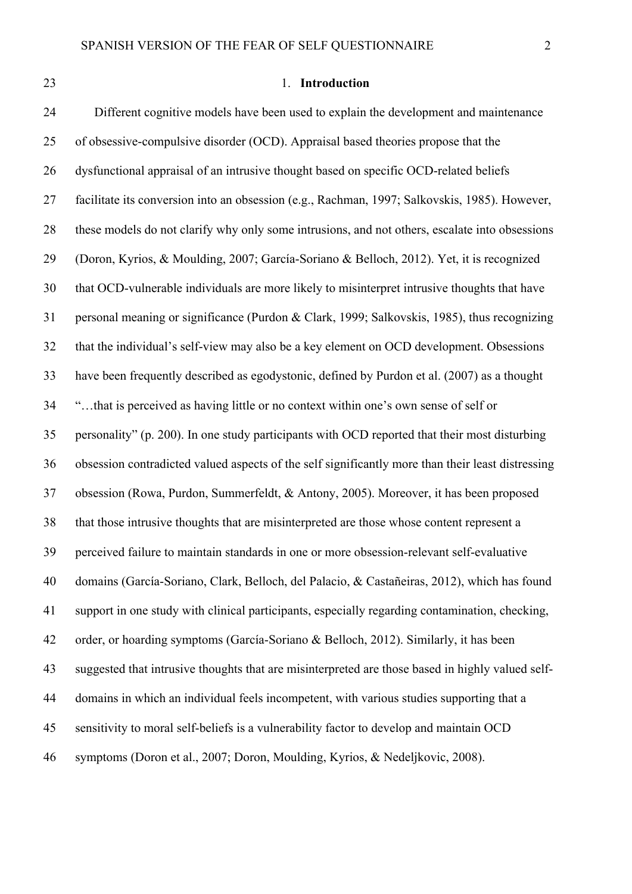## 23 1. **Introduction**

24 Different cognitive models have been used to explain the development and maintenance 25 of obsessive-compulsive disorder (OCD). Appraisal based theories propose that the 26 dysfunctional appraisal of an intrusive thought based on specific OCD-related beliefs 27 facilitate its conversion into an obsession (e.g., Rachman, 1997; Salkovskis, 1985). However, 28 these models do not clarify why only some intrusions, and not others, escalate into obsessions 29 (Doron, Kyrios, & Moulding, 2007; García-Soriano & Belloch, 2012). Yet, it is recognized 30 that OCD-vulnerable individuals are more likely to misinterpret intrusive thoughts that have 31 personal meaning or significance (Purdon & Clark, 1999; Salkovskis, 1985), thus recognizing 32 that the individual's self-view may also be a key element on OCD development. Obsessions 33 have been frequently described as egodystonic, defined by Purdon et al. (2007) as a thought 34 "…that is perceived as having little or no context within one's own sense of self or 35 personality" (p. 200). In one study participants with OCD reported that their most disturbing 36 obsession contradicted valued aspects of the self significantly more than their least distressing 37 obsession (Rowa, Purdon, Summerfeldt, & Antony, 2005). Moreover, it has been proposed 38 that those intrusive thoughts that are misinterpreted are those whose content represent a 39 perceived failure to maintain standards in one or more obsession-relevant self-evaluative 40 domains (García-Soriano, Clark, Belloch, del Palacio, & Castañeiras, 2012), which has found 41 support in one study with clinical participants, especially regarding contamination, checking, 42 order, or hoarding symptoms (García-Soriano & Belloch, 2012). Similarly, it has been 43 suggested that intrusive thoughts that are misinterpreted are those based in highly valued self-44 domains in which an individual feels incompetent, with various studies supporting that a 45 sensitivity to moral self-beliefs is a vulnerability factor to develop and maintain OCD 46 symptoms (Doron et al., 2007; Doron, Moulding, Kyrios, & Nedeljkovic, 2008).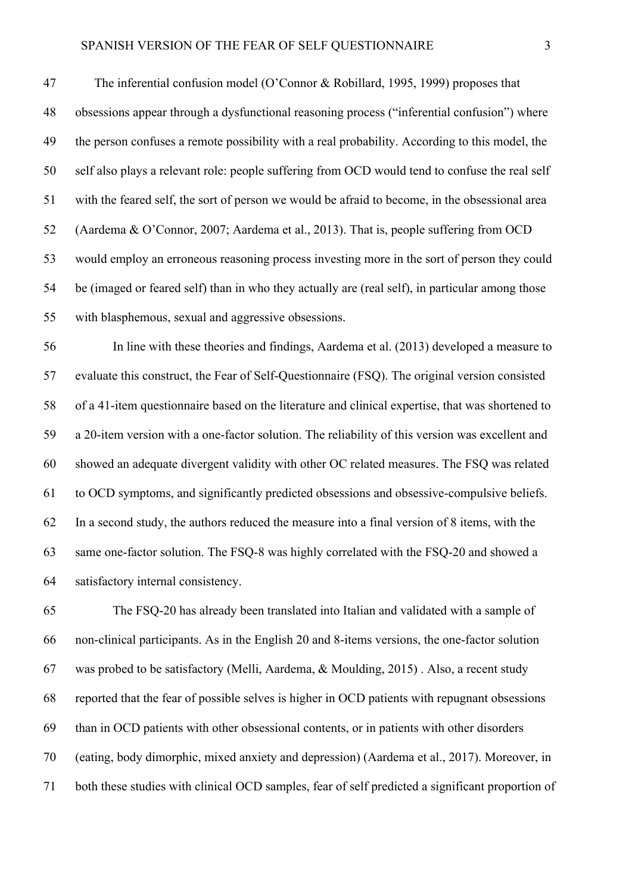47 The inferential confusion model (O'Connor & Robillard, 1995, 1999) proposes that 48 obsessions appear through a dysfunctional reasoning process ("inferential confusion") where 49 the person confuses a remote possibility with a real probability. According to this model, the 50 self also plays a relevant role: people suffering from OCD would tend to confuse the real self 51 with the feared self, the sort of person we would be afraid to become, in the obsessional area 52 (Aardema & O'Connor, 2007; Aardema et al., 2013). That is, people suffering from OCD 53 would employ an erroneous reasoning process investing more in the sort of person they could 54 be (imaged or feared self) than in who they actually are (real self), in particular among those 55 with blasphemous, sexual and aggressive obsessions.

56 In line with these theories and findings, Aardema et al. (2013) developed a measure to 57 evaluate this construct, the Fear of Self-Questionnaire (FSQ). The original version consisted 58 of a 41-item questionnaire based on the literature and clinical expertise, that was shortened to 59 a 20-item version with a one-factor solution. The reliability of this version was excellent and 60 showed an adequate divergent validity with other OC related measures. The FSQ was related 61 to OCD symptoms, and significantly predicted obsessions and obsessive-compulsive beliefs. 62 In a second study, the authors reduced the measure into a final version of 8 items, with the 63 same one-factor solution. The FSQ-8 was highly correlated with the FSQ-20 and showed a 64 satisfactory internal consistency.

65 The FSQ-20 has already been translated into Italian and validated with a sample of 66 non-clinical participants. As in the English 20 and 8-items versions, the one-factor solution 67 was probed to be satisfactory (Melli, Aardema, & Moulding, 2015) . Also, a recent study 68 reported that the fear of possible selves is higher in OCD patients with repugnant obsessions 69 than in OCD patients with other obsessional contents, or in patients with other disorders 70 (eating, body dimorphic, mixed anxiety and depression) (Aardema et al., 2017). Moreover, in 71 both these studies with clinical OCD samples, fear of self predicted a significant proportion of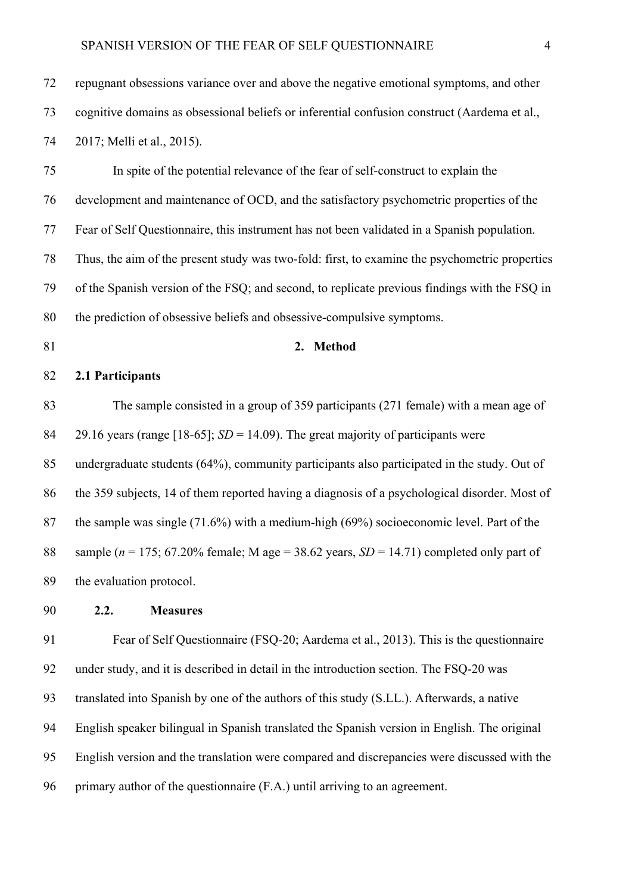72 repugnant obsessions variance over and above the negative emotional symptoms, and other 73 cognitive domains as obsessional beliefs or inferential confusion construct (Aardema et al., 74 2017; Melli et al., 2015).

75 In spite of the potential relevance of the fear of self-construct to explain the 76 development and maintenance of OCD, and the satisfactory psychometric properties of the 77 Fear of Self Questionnaire, this instrument has not been validated in a Spanish population. 78 Thus, the aim of the present study was two-fold: first, to examine the psychometric properties 79 of the Spanish version of the FSQ; and second, to replicate previous findings with the FSQ in 80 the prediction of obsessive beliefs and obsessive-compulsive symptoms.

## 81 **2. Method**

#### 82 **2.1 Participants**

83 The sample consisted in a group of 359 participants (271 female) with a mean age of 84 29.16 years (range [18-65]; *SD* = 14.09). The great majority of participants were 85 undergraduate students (64%), community participants also participated in the study. Out of 86 the 359 subjects, 14 of them reported having a diagnosis of a psychological disorder. Most of 87 the sample was single (71.6%) with a medium-high (69%) socioeconomic level. Part of the 88 sample ( $n = 175$ ; 67.20% female; M age = 38.62 years, *SD* = 14.71) completed only part of 89 the evaluation protocol.

90 **2.2. Measures**

91 Fear of Self Questionnaire (FSQ-20; Aardema et al., 2013). This is the questionnaire 92 under study, and it is described in detail in the introduction section. The FSQ-20 was 93 translated into Spanish by one of the authors of this study (S.LL.). Afterwards, a native 94 English speaker bilingual in Spanish translated the Spanish version in English. The original 95 English version and the translation were compared and discrepancies were discussed with the 96 primary author of the questionnaire (F.A.) until arriving to an agreement.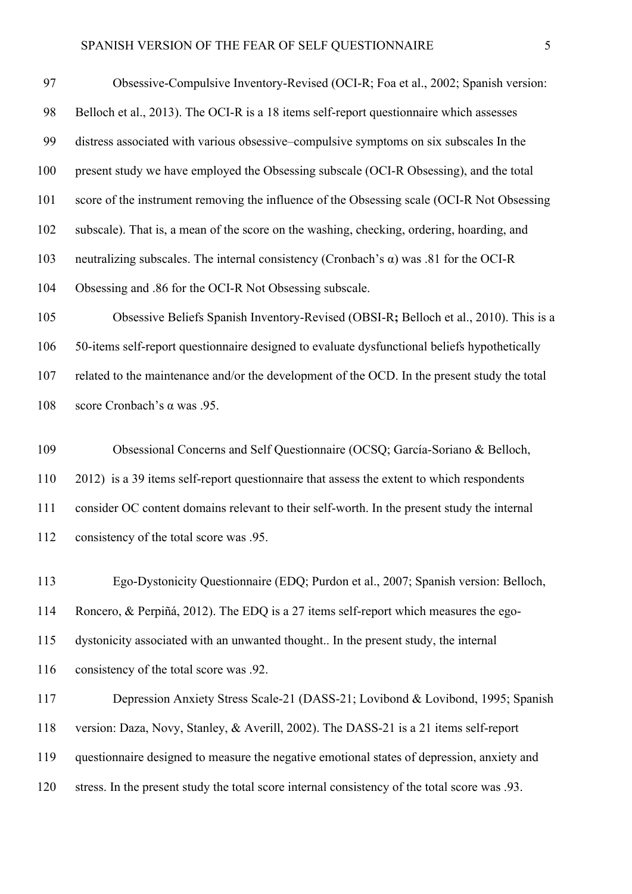97 Obsessive-Compulsive Inventory-Revised (OCI-R; Foa et al., 2002; Spanish version: 98 Belloch et al., 2013). The OCI-R is a 18 items self-report questionnaire which assesses 99 distress associated with various obsessive–compulsive symptoms on six subscales In the 100 present study we have employed the Obsessing subscale (OCI-R Obsessing), and the total 101 score of the instrument removing the influence of the Obsessing scale (OCI-R Not Obsessing 102 subscale). That is, a mean of the score on the washing, checking, ordering, hoarding, and 103 neutralizing subscales. The internal consistency (Cronbach's α) was .81 for the OCI-R 104 Obsessing and .86 for the OCI-R Not Obsessing subscale.

105 Obsessive Beliefs Spanish Inventory-Revised (OBSI-R**;** Belloch et al., 2010). This is a 106 50-items self-report questionnaire designed to evaluate dysfunctional beliefs hypothetically 107 related to the maintenance and/or the development of the OCD. In the present study the total 108 score Cronbach's α was .95.

109 Obsessional Concerns and Self Questionnaire (OCSQ; García-Soriano & Belloch, 110 2012) is a 39 items self-report questionnaire that assess the extent to which respondents 111 consider OC content domains relevant to their self-worth. In the present study the internal 112 consistency of the total score was .95.

113 Ego-Dystonicity Questionnaire (EDQ; Purdon et al., 2007; Spanish version: Belloch, 114 Roncero, & Perpiñá, 2012). The EDQ is a 27 items self-report which measures the ego-115 dystonicity associated with an unwanted thought.. In the present study, the internal 116 consistency of the total score was .92.

117 Depression Anxiety Stress Scale-21 (DASS-21; Lovibond & Lovibond, 1995; Spanish 118 version: Daza, Novy, Stanley, & Averill, 2002). The DASS-21 is a 21 items self-report 119 questionnaire designed to measure the negative emotional states of depression, anxiety and 120 stress. In the present study the total score internal consistency of the total score was .93.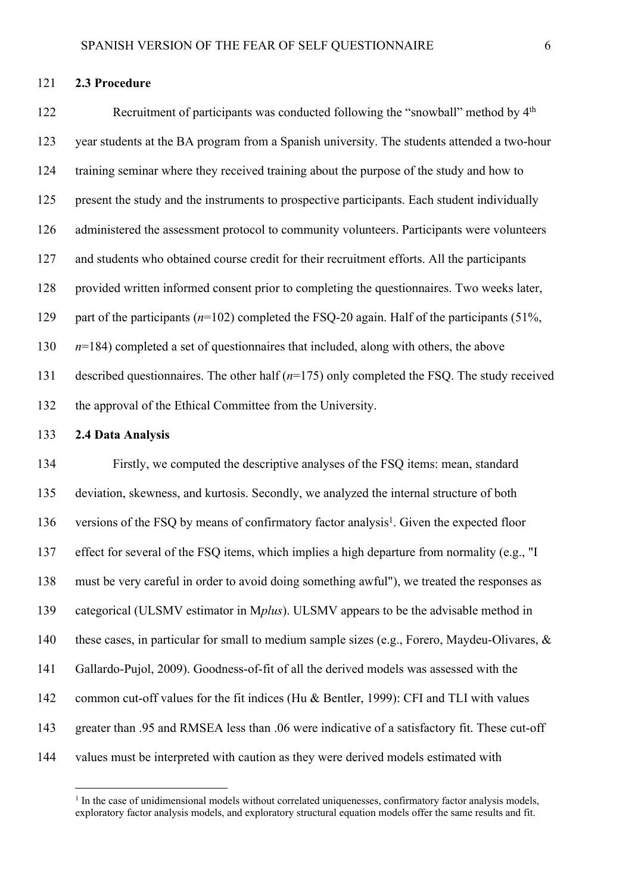122 Recruitment of participants was conducted following the "snowball" method by 4th 123 year students at the BA program from a Spanish university. The students attended a two-hour 124 training seminar where they received training about the purpose of the study and how to 125 present the study and the instruments to prospective participants. Each student individually 126 administered the assessment protocol to community volunteers. Participants were volunteers 127 and students who obtained course credit for their recruitment efforts. All the participants 128 provided written informed consent prior to completing the questionnaires. Two weeks later, 129 part of the participants (*n*=102) completed the FSQ-20 again. Half of the participants (51%, 130 *n*=184) completed a set of questionnaires that included, along with others, the above 131 described questionnaires. The other half (*n*=175) only completed the FSQ. The study received 132 the approval of the Ethical Committee from the University.

#### 133 **2.4 Data Analysis**

134 Firstly, we computed the descriptive analyses of the FSQ items: mean, standard 135 deviation, skewness, and kurtosis. Secondly, we analyzed the internal structure of both 136 versions of the FSQ by means of confirmatory factor analysis<sup>1</sup>. Given the expected floor 137 effect for several of the FSQ items, which implies a high departure from normality (e.g., "I 138 must be very careful in order to avoid doing something awful"), we treated the responses as 139 categorical (ULSMV estimator in M*plus*). ULSMV appears to be the advisable method in 140 these cases, in particular for small to medium sample sizes (e.g., Forero, Maydeu-Olivares, & 141 Gallardo-Pujol, 2009). Goodness-of-fit of all the derived models was assessed with the 142 common cut-off values for the fit indices (Hu & Bentler, 1999): CFI and TLI with values 143 greater than .95 and RMSEA less than .06 were indicative of a satisfactory fit. These cut-off 144 values must be interpreted with caution as they were derived models estimated with

<sup>&</sup>lt;sup>1</sup> In the case of unidimensional models without correlated uniquenesses, confirmatory factor analysis models, exploratory factor analysis models, and exploratory structural equation models offer the same results and fit.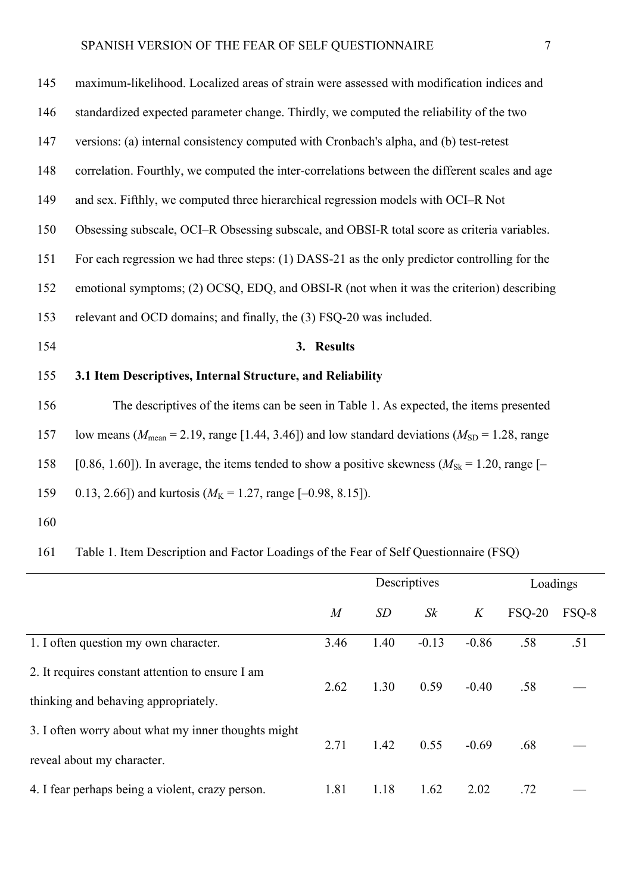| 145 | maximum-likelihood. Localized areas of strain were assessed with modification indices and                             |
|-----|-----------------------------------------------------------------------------------------------------------------------|
| 146 | standardized expected parameter change. Thirdly, we computed the reliability of the two                               |
| 147 | versions: (a) internal consistency computed with Cronbach's alpha, and (b) test-retest                                |
| 148 | correlation. Fourthly, we computed the inter-correlations between the different scales and age                        |
| 149 | and sex. Fifthly, we computed three hierarchical regression models with OCI–R Not                                     |
| 150 | Obsessing subscale, OCI-R Obsessing subscale, and OBSI-R total score as criteria variables.                           |
| 151 | For each regression we had three steps: (1) DASS-21 as the only predictor controlling for the                         |
| 152 | emotional symptoms; (2) OCSQ, EDQ, and OBSI-R (not when it was the criterion) describing                              |
| 153 | relevant and OCD domains; and finally, the (3) FSQ-20 was included.                                                   |
| 154 | 3. Results                                                                                                            |
| 155 | 3.1 Item Descriptives, Internal Structure, and Reliability                                                            |
| 156 | The descriptives of the items can be seen in Table 1. As expected, the items presented                                |
| 157 | low means ( $M_{\text{mean}}$ = 2.19, range [1.44, 3.46]) and low standard deviations ( $M_{\text{SD}}$ = 1.28, range |
| 158 | [0.86, 1.60]). In average, the items tended to show a positive skewness ( $M_{\text{Sk}} = 1.20$ , range [-           |
| 159 | 0.13, 2.66]) and kurtosis ( $M_K$ = 1.27, range [-0.98, 8.15]).                                                       |

160

# 161 Table 1. Item Description and Factor Loadings of the Fear of Self Questionnaire (FSQ)

|                                                     |                  | Descriptives | Loadings |         |               |       |
|-----------------------------------------------------|------------------|--------------|----------|---------|---------------|-------|
|                                                     | $\boldsymbol{M}$ | SD           | Sk       | K       | <b>FSO-20</b> | FSQ-8 |
| 1. I often question my own character.               | 3.46             | 1.40         | $-0.13$  | $-0.86$ | .58           | .51   |
| 2. It requires constant attention to ensure I am    |                  | 1.30         | 0.59     | $-0.40$ | .58           |       |
| thinking and behaving appropriately.                | 2.62             |              |          |         |               |       |
| 3. I often worry about what my inner thoughts might | 2.71             | 1.42         | 0.55     | $-0.69$ | .68           |       |
| reveal about my character.                          |                  |              |          |         |               |       |
| 4. I fear perhaps being a violent, crazy person.    | 1.81             | 1.18         | 1.62     | 2.02    | .72           |       |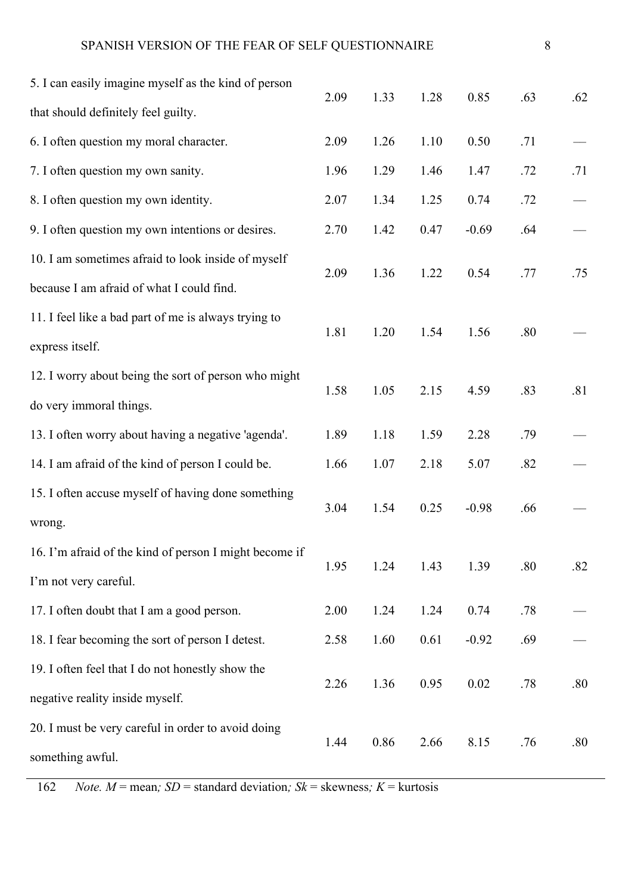| 5. I can easily imagine myself as the kind of person   | 2.09 | 1.33 | 1.28 | 0.85    | .63 | .62 |
|--------------------------------------------------------|------|------|------|---------|-----|-----|
| that should definitely feel guilty.                    |      |      |      |         |     |     |
| 6. I often question my moral character.                | 2.09 | 1.26 | 1.10 | 0.50    | .71 |     |
| 7. I often question my own sanity.                     | 1.96 | 1.29 | 1.46 | 1.47    | .72 | .71 |
| 8. I often question my own identity.                   | 2.07 | 1.34 | 1.25 | 0.74    | .72 |     |
| 9. I often question my own intentions or desires.      | 2.70 | 1.42 | 0.47 | $-0.69$ | .64 |     |
| 10. I am sometimes afraid to look inside of myself     |      |      |      |         |     |     |
| because I am afraid of what I could find.              | 2.09 | 1.36 | 1.22 | 0.54    | .77 | .75 |
| 11. I feel like a bad part of me is always trying to   |      |      |      |         |     |     |
| express itself.                                        | 1.81 | 1.20 | 1.54 | 1.56    | .80 |     |
| 12. I worry about being the sort of person who might   |      |      |      |         |     |     |
| do very immoral things.                                | 1.58 | 1.05 | 2.15 | 4.59    | .83 | .81 |
| 13. I often worry about having a negative 'agenda'.    | 1.89 | 1.18 | 1.59 | 2.28    | .79 |     |
| 14. I am afraid of the kind of person I could be.      | 1.66 | 1.07 | 2.18 | 5.07    | .82 |     |
| 15. I often accuse myself of having done something     |      |      |      |         |     |     |
| wrong.                                                 | 3.04 | 1.54 | 0.25 | $-0.98$ | .66 |     |
| 16. I'm afraid of the kind of person I might become if |      |      |      |         |     |     |
| I'm not very careful.                                  | 1.95 | 1.24 | 1.43 | 1.39    | .80 | .82 |
| 17. I often doubt that I am a good person.             | 2.00 | 1.24 | 1.24 | 0.74    | .78 |     |
| 18. I fear becoming the sort of person I detest.       | 2.58 | 1.60 | 0.61 | $-0.92$ | .69 |     |
| 19. I often feel that I do not honestly show the       |      |      |      |         |     |     |
| negative reality inside myself.                        | 2.26 | 1.36 | 0.95 | 0.02    | .78 | .80 |
| 20. I must be very careful in order to avoid doing     |      |      |      |         |     |     |
| something awful.                                       | 1.44 | 0.86 | 2.66 | 8.15    | .76 | .80 |
|                                                        |      |      |      |         |     |     |

162 *Note.*  $M$  = mean;  $SD$  = standard deviation;  $Sk$  = skewness;  $K$  = kurtosis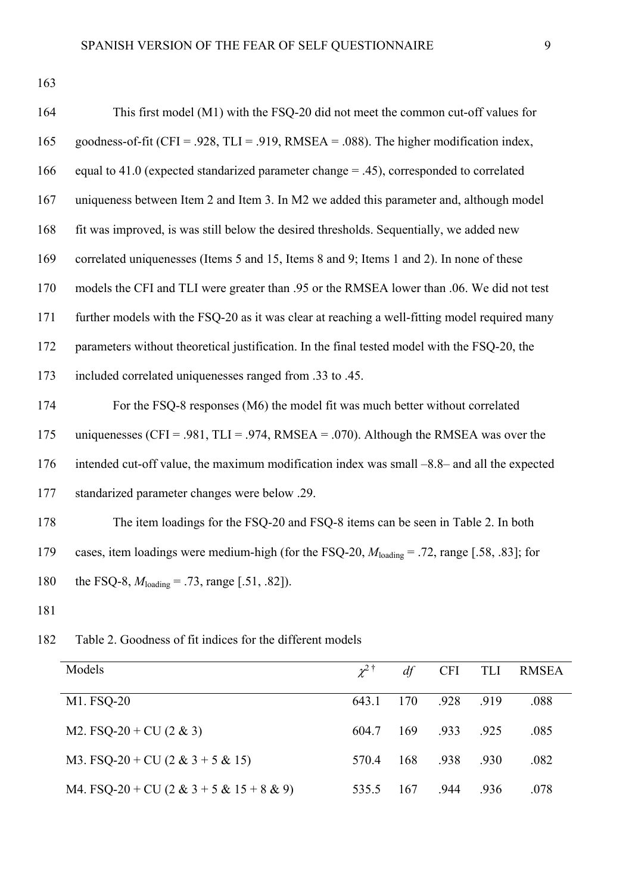163

| 164 | This first model (M1) with the FSQ-20 did not meet the common cut-off values for                          |
|-----|-----------------------------------------------------------------------------------------------------------|
| 165 | goodness-of-fit (CFI = .928, TLI = .919, RMSEA = .088). The higher modification index,                    |
| 166 | equal to 41.0 (expected standarized parameter change $= .45$ ), corresponded to correlated                |
| 167 | uniqueness between Item 2 and Item 3. In M2 we added this parameter and, although model                   |
| 168 | fit was improved, is was still below the desired thresholds. Sequentially, we added new                   |
| 169 | correlated uniquenesses (Items 5 and 15, Items 8 and 9; Items 1 and 2). In none of these                  |
| 170 | models the CFI and TLI were greater than .95 or the RMSEA lower than .06. We did not test                 |
| 171 | further models with the FSQ-20 as it was clear at reaching a well-fitting model required many             |
| 172 | parameters without theoretical justification. In the final tested model with the FSQ-20, the              |
| 173 | included correlated uniquenesses ranged from .33 to .45.                                                  |
| 174 | For the FSQ-8 responses (M6) the model fit was much better without correlated                             |
| 175 | uniquenesses (CFI = .981, TLI = .974, RMSEA = .070). Although the RMSEA was over the                      |
| 176 | intended cut-off value, the maximum modification index was small -8.8- and all the expected               |
| 177 | standarized parameter changes were below .29.                                                             |
| 178 | The item loadings for the FSQ-20 and FSQ-8 items can be seen in Table 2. In both                          |
| 179 | cases, item loadings were medium-high (for the FSQ-20, $M_{\text{loading}} = .72$ , range [.58, .83]; for |
| 180 | the FSQ-8, $M_{\text{loading}} = .73$ , range [.51, .82]).                                                |

181

Models  $\chi^{2^{\dagger}}$ 2 † *df* CFI TLI RMSEA M1. FSQ-20 643.1 170 .928 .919 .088 M2. FSQ-20 + CU (2 & 3) 604.7 169 .933 .925 .085 M3. FSQ-20 + CU (2 & 3 + 5 & 15) 570.4 168 .938 .930 .082 M4. FSQ-20 + CU (2 & 3 + 5 & 15 + 8 & 9) 535.5 167 .944 .936 .078

182 Table 2. Goodness of fit indices for the different models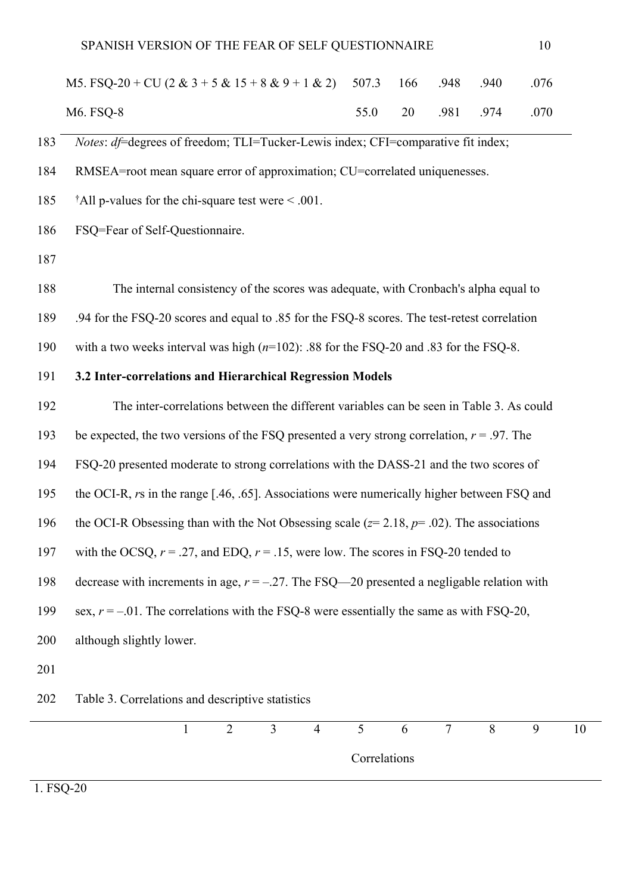| M5. FSQ-20 + CU $(2 \& 3 + 5 \& 15 + 8 \& 9 + 1 \& 2)$ 507.3 166 .948 .940 .076 |  |  |                        |
|---------------------------------------------------------------------------------|--|--|------------------------|
| M6. FSQ-8                                                                       |  |  | 55.0 20 .981 .974 .070 |

183 *Notes*: *df*=degrees of freedom; TLI=Tucker-Lewis index; CFI=comparative fit index;

184 RMSEA=root mean square error of approximation; CU=correlated uniquenesses.

185 †All p-values for the chi-square test were < .001.

186 FSQ=Fear of Self-Questionnaire.

187

188 The internal consistency of the scores was adequate, with Cronbach's alpha equal to

189 .94 for the FSQ-20 scores and equal to .85 for the FSQ-8 scores. The test-retest correlation

190 with a two weeks interval was high (*n*=102): .88 for the FSQ-20 and .83 for the FSQ-8.

## 191 **3.2 Inter-correlations and Hierarchical Regression Models**

192 The inter-correlations between the different variables can be seen in Table 3. As could 193 be expected, the two versions of the FSQ presented a very strong correlation, *r* = .97. The 194 FSQ-20 presented moderate to strong correlations with the DASS-21 and the two scores of 195 the OCI-R, *r*s in the range [.46, .65]. Associations were numerically higher between FSQ and 196 the OCI-R Obsessing than with the Not Obsessing scale (*z*= 2.18, *p*= .02). The associations 197 with the OCSQ,  $r = .27$ , and EDQ,  $r = .15$ , were low. The scores in FSQ-20 tended to 198 decrease with increments in age, *r* = –.27. The FSQ—20 presented a negligable relation with 199 sex,  $r = -01$ . The correlations with the FSO-8 were essentially the same as with FSO-20, 200 although slightly lower. 201 202 Table 3. Correlations and descriptive statistics



1. FSQ-20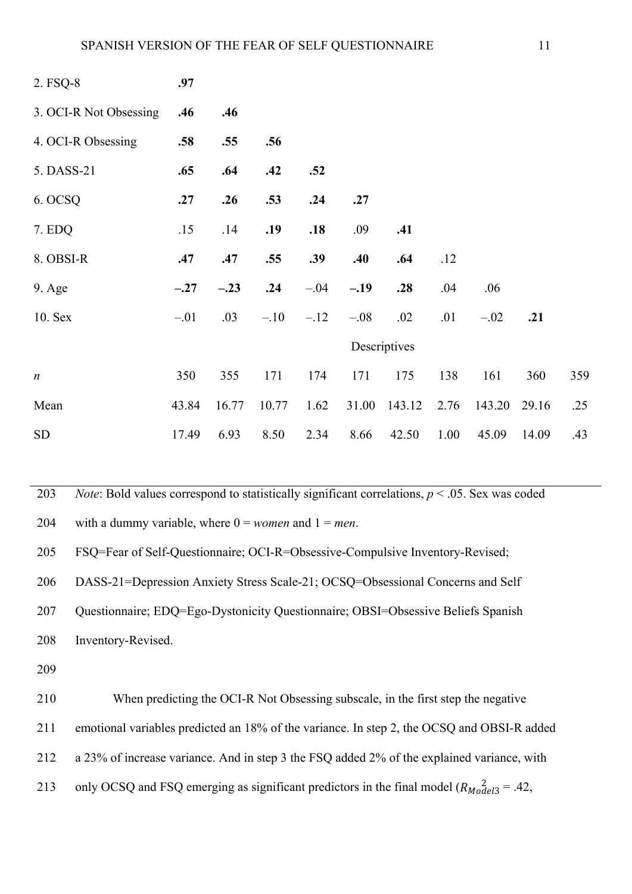| 2. FSQ-8               | .97    |        |        |        |        |              |      |        |       |     |
|------------------------|--------|--------|--------|--------|--------|--------------|------|--------|-------|-----|
| 3. OCI-R Not Obsessing | .46    | .46    |        |        |        |              |      |        |       |     |
| 4. OCI-R Obsessing     | .58    | .55    | .56    |        |        |              |      |        |       |     |
| 5. DASS-21             | .65    | .64    | .42    | .52    |        |              |      |        |       |     |
| 6. OCSQ                | .27    | .26    | .53    | .24    | .27    |              |      |        |       |     |
| 7. EDQ                 | .15    | .14    | .19    | .18    | .09    | .41          |      |        |       |     |
| 8. OBSI-R              | .47    | .47    | .55    | .39    | .40    | .64          | .12  |        |       |     |
| $9. \text{Age}$        | $-.27$ | $-.23$ | .24    | $-.04$ | $-.19$ | .28          | .04  | .06    |       |     |
| 10. Sex                | $-.01$ | .03    | $-.10$ | $-.12$ | $-.08$ | .02          | .01  | $-.02$ | .21   |     |
|                        |        |        |        |        |        | Descriptives |      |        |       |     |
| $\boldsymbol{n}$       | 350    | 355    | 171    | 174    | 171    | 175          | 138  | 161    | 360   | 359 |
| Mean                   | 43.84  | 16.77  | 10.77  | 1.62   | 31.00  | 143.12       | 2.76 | 143.20 | 29.16 | .25 |
| <b>SD</b>              | 17.49  | 6.93   | 8.50   | 2.34   | 8.66   | 42.50        | 1.00 | 45.09  | 14.09 | .43 |

203 *Note*: Bold values correspond to statistically significant correlations, *p* < .05. Sex was coded

204 with a dummy variable, where  $0 =$ *women* and  $1 =$ *men*.

205 FSQ=Fear of Self-Questionnaire; OCI-R=Obsessive-Compulsive Inventory-Revised;

206 DASS-21=Depression Anxiety Stress Scale-21; OCSQ=Obsessional Concerns and Self

207 Questionnaire; EDQ=Ego-Dystonicity Questionnaire; OBSI=Obsessive Beliefs Spanish

- 208 Inventory-Revised.
- 209

210 When predicting the OCI-R Not Obsessing subscale, in the first step the negative 211 emotional variables predicted an 18% of the variance. In step 2, the OCSQ and OBSI-R added 212 a 23% of increase variance. And in step 3 the FSQ added 2% of the explained variance, with 213 only OCSQ and FSQ emerging as significant predictors in the final model  $(R_{\text{Model3}} = .42,$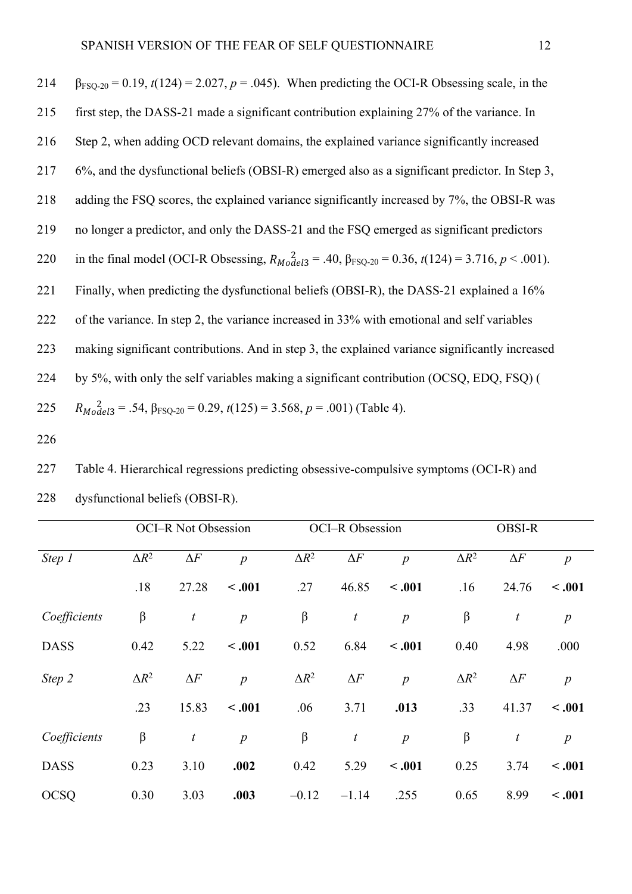| 214 | $\beta_{FSQ-20}$ = 0.19, t(124) = 2.027, p = .045). When predicting the OCI-R Obsessing scale, in the                              |
|-----|------------------------------------------------------------------------------------------------------------------------------------|
| 215 | first step, the DASS-21 made a significant contribution explaining 27% of the variance. In                                         |
| 216 | Step 2, when adding OCD relevant domains, the explained variance significantly increased                                           |
| 217 | 6%, and the dysfunctional beliefs (OBSI-R) emerged also as a significant predictor. In Step 3,                                     |
| 218 | adding the FSQ scores, the explained variance significantly increased by 7%, the OBSI-R was                                        |
| 219 | no longer a predictor, and only the DASS-21 and the FSQ emerged as significant predictors                                          |
| 220 | in the final model (OCI-R Obsessing, $R_{\text{Model3}} = .40$ , $\beta_{\text{FSQ-20}} = 0.36$ , $t(124) = 3.716$ , $p < .001$ ). |
| 221 | Finally, when predicting the dysfunctional beliefs (OBSI-R), the DASS-21 explained a 16%                                           |
| 222 | of the variance. In step 2, the variance increased in 33% with emotional and self variables                                        |
| 223 | making significant contributions. And in step 3, the explained variance significantly increased                                    |
| 224 | by 5%, with only the self variables making a significant contribution (OCSQ, EDQ, FSQ) (                                           |
| 225 | $R_{\text{Model3}} = .54$ , $\beta_{\text{FSO-20}} = 0.29$ , $t(125) = 3.568$ , $p = .001$ ) (Table 4).                            |
|     |                                                                                                                                    |

226

227 Table 4. Hierarchical regressions predicting obsessive-compulsive symptoms (OCI-R) and 228 dysfunctional beliefs (OBSI-R).

|              |              | <b>OCI-R Not Obsession</b> |                |              | OCI-R Obsession  |                  | <b>OBSI-R</b> |                  |                  |
|--------------|--------------|----------------------------|----------------|--------------|------------------|------------------|---------------|------------------|------------------|
| Step 1       | $\Delta R^2$ | $\Delta F$                 | $\overline{p}$ | $\Delta R^2$ | $\Delta F$       | $\overline{p}$   | $\Delta R^2$  | $\Delta F$       | $\boldsymbol{p}$ |
|              | .18          | 27.28                      | < .001         | .27          | 46.85            | $-.001$          | .16           | 24.76            | $-.001$          |
| Coefficients | $\beta$      | $\boldsymbol{t}$           | $\overline{p}$ | $\beta$      | $\boldsymbol{t}$ | $\boldsymbol{p}$ | $\beta$       | $\boldsymbol{t}$ | $\boldsymbol{p}$ |
| <b>DASS</b>  | 0.42         | 5.22                       | $-.001$        | 0.52         | 6.84             | $-.001$          | 0.40          | 4.98             | .000             |
| Step 2       | $\Delta R^2$ | $\Delta F$                 | $\overline{p}$ | $\Delta R^2$ | $\Delta F$       | $\overline{p}$   | $\Delta R^2$  | $\Delta F$       | $\boldsymbol{p}$ |
|              | .23          | 15.83                      | $-.001$        | .06          | 3.71             | .013             | .33           | 41.37            | $-.001$          |
| Coefficients | $\beta$      | $\boldsymbol{t}$           | $\overline{p}$ | $\beta$      | $\boldsymbol{t}$ | $\boldsymbol{p}$ | $\beta$       | $\boldsymbol{t}$ | $\boldsymbol{p}$ |
| <b>DASS</b>  | 0.23         | 3.10                       | .002           | 0.42         | 5.29             | $-.001$          | 0.25          | 3.74             | < .001           |
| <b>OCSQ</b>  | 0.30         | 3.03                       | .003           | $-0.12$      | $-1.14$          | .255             | 0.65          | 8.99             | $-.001$          |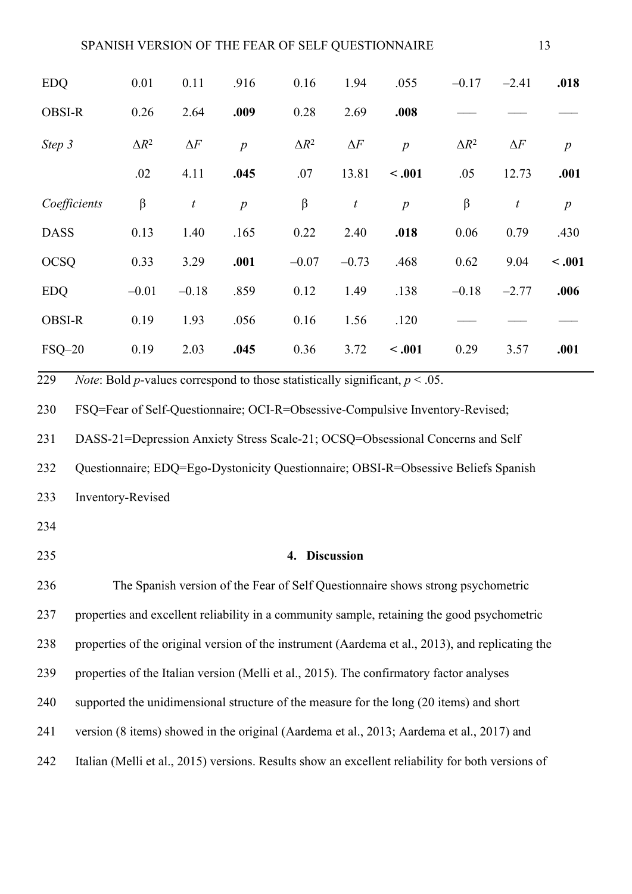| <b>EDQ</b>    | 0.01         | 0.11             | .916             | 0.16         | 1.94             | .055             | $-0.17$      | $-2.41$          | .018             |
|---------------|--------------|------------------|------------------|--------------|------------------|------------------|--------------|------------------|------------------|
| <b>OBSI-R</b> | 0.26         | 2.64             | .009             | 0.28         | 2.69             | .008             |              |                  |                  |
| Step 3        | $\Delta R^2$ | $\Delta F$       | $\boldsymbol{p}$ | $\Delta R^2$ | $\Delta F$       | $\overline{p}$   | $\Delta R^2$ | $\Delta F$       | $\boldsymbol{p}$ |
|               | .02          | 4.11             | .045             | .07          | 13.81            | < .001           | .05          | 12.73            | .001             |
| Coefficients  | $\beta$      | $\boldsymbol{t}$ | $\boldsymbol{p}$ | $\beta$      | $\boldsymbol{t}$ | $\boldsymbol{p}$ | $\beta$      | $\boldsymbol{t}$ | $\boldsymbol{p}$ |
| <b>DASS</b>   | 0.13         | 1.40             | .165             | 0.22         | 2.40             | .018             | 0.06         | 0.79             | .430             |
| <b>OCSQ</b>   | 0.33         | 3.29             | .001             | $-0.07$      | $-0.73$          | .468             | 0.62         | 9.04             | $-.001$          |
| <b>EDQ</b>    | $-0.01$      | $-0.18$          | .859             | 0.12         | 1.49             | .138             | $-0.18$      | $-2.77$          | .006             |
| <b>OBSI-R</b> | 0.19         | 1.93             | .056             | 0.16         | 1.56             | .120             |              |                  |                  |
| $FSQ-20$      | 0.19         | 2.03             | .045             | 0.36         | 3.72             | $-.001$          | 0.29         | 3.57             | .001             |

229 *Note*: Bold *p*-values correspond to those statistically significant,  $p < .05$ .

230 FSQ=Fear of Self-Questionnaire; OCI-R=Obsessive-Compulsive Inventory-Revised;

231 DASS-21=Depression Anxiety Stress Scale-21; OCSQ=Obsessional Concerns and Self

232 Questionnaire; EDQ=Ego-Dystonicity Questionnaire; OBSI-R=Obsessive Beliefs Spanish

233 Inventory-Revised

234

# 235 **4. Discussion**

236 The Spanish version of the Fear of Self Questionnaire shows strong psychometric 237 properties and excellent reliability in a community sample, retaining the good psychometric 238 properties of the original version of the instrument (Aardema et al., 2013), and replicating the 239 properties of the Italian version (Melli et al., 2015). The confirmatory factor analyses 240 supported the unidimensional structure of the measure for the long (20 items) and short 241 version (8 items) showed in the original (Aardema et al., 2013; Aardema et al., 2017) and 242 Italian (Melli et al., 2015) versions. Results show an excellent reliability for both versions of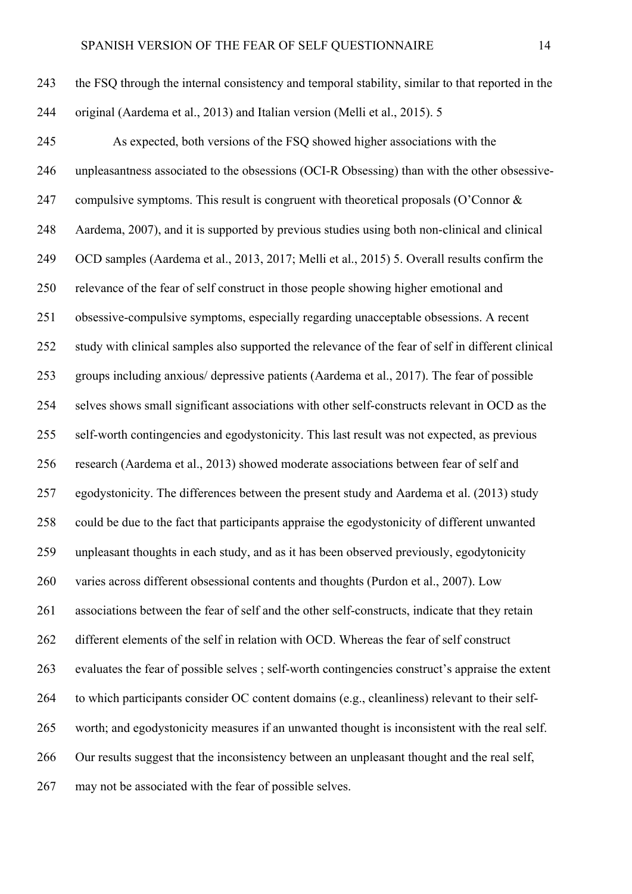245 As expected, both versions of the FSQ showed higher associations with the 246 unpleasantness associated to the obsessions (OCI-R Obsessing) than with the other obsessive-247 compulsive symptoms. This result is congruent with theoretical proposals (O'Connor  $\&$ 248 Aardema, 2007), and it is supported by previous studies using both non-clinical and clinical 249 OCD samples (Aardema et al., 2013, 2017; Melli et al., 2015) 5. Overall results confirm the 250 relevance of the fear of self construct in those people showing higher emotional and 251 obsessive-compulsive symptoms, especially regarding unacceptable obsessions. A recent 252 study with clinical samples also supported the relevance of the fear of self in different clinical 253 groups including anxious/ depressive patients (Aardema et al., 2017). The fear of possible 254 selves shows small significant associations with other self-constructs relevant in OCD as the 255 self-worth contingencies and egodystonicity. This last result was not expected, as previous 256 research (Aardema et al., 2013) showed moderate associations between fear of self and 257 egodystonicity. The differences between the present study and Aardema et al. (2013) study 258 could be due to the fact that participants appraise the egodystonicity of different unwanted 259 unpleasant thoughts in each study, and as it has been observed previously, egodytonicity 260 varies across different obsessional contents and thoughts (Purdon et al., 2007). Low 261 associations between the fear of self and the other self-constructs, indicate that they retain 262 different elements of the self in relation with OCD. Whereas the fear of self construct 263 evaluates the fear of possible selves ; self-worth contingencies construct's appraise the extent 264 to which participants consider OC content domains (e.g., cleanliness) relevant to their self-265 worth; and egodystonicity measures if an unwanted thought is inconsistent with the real self. 266 Our results suggest that the inconsistency between an unpleasant thought and the real self, 267 may not be associated with the fear of possible selves.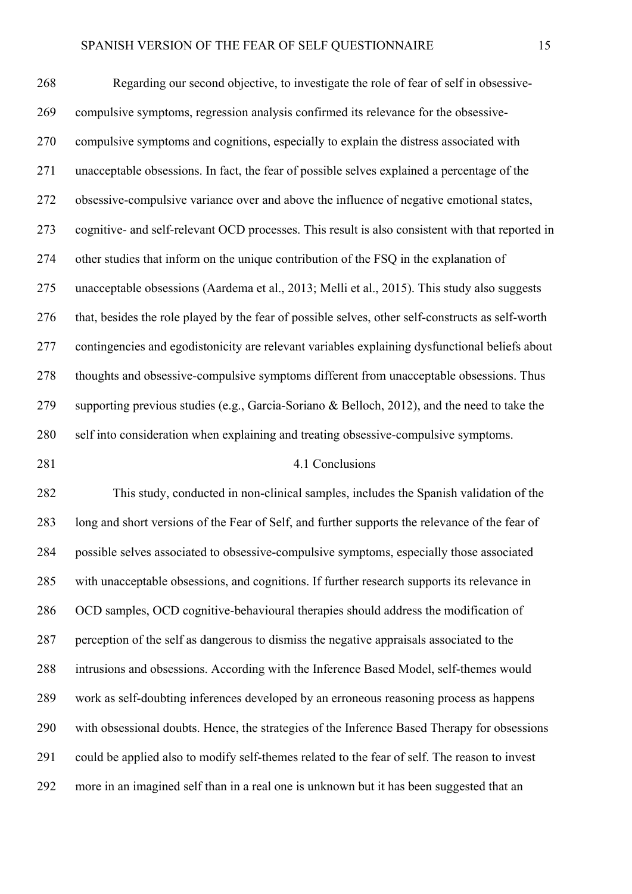268 Regarding our second objective, to investigate the role of fear of self in obsessive-269 compulsive symptoms, regression analysis confirmed its relevance for the obsessive-270 compulsive symptoms and cognitions, especially to explain the distress associated with 271 unacceptable obsessions. In fact, the fear of possible selves explained a percentage of the 272 obsessive-compulsive variance over and above the influence of negative emotional states, 273 cognitive- and self-relevant OCD processes. This result is also consistent with that reported in 274 other studies that inform on the unique contribution of the FSQ in the explanation of 275 unacceptable obsessions (Aardema et al., 2013; Melli et al., 2015). This study also suggests 276 that, besides the role played by the fear of possible selves, other self-constructs as self-worth 277 contingencies and egodistonicity are relevant variables explaining dysfunctional beliefs about 278 thoughts and obsessive-compulsive symptoms different from unacceptable obsessions. Thus 279 supporting previous studies (e.g., Garcia-Soriano & Belloch, 2012), and the need to take the 280 self into consideration when explaining and treating obsessive-compulsive symptoms.

#### 281 4.1 Conclusions

282 This study, conducted in non-clinical samples, includes the Spanish validation of the 283 long and short versions of the Fear of Self, and further supports the relevance of the fear of 284 possible selves associated to obsessive-compulsive symptoms, especially those associated 285 with unacceptable obsessions, and cognitions. If further research supports its relevance in 286 OCD samples, OCD cognitive-behavioural therapies should address the modification of 287 perception of the self as dangerous to dismiss the negative appraisals associated to the 288 intrusions and obsessions. According with the Inference Based Model, self-themes would 289 work as self-doubting inferences developed by an erroneous reasoning process as happens 290 with obsessional doubts. Hence, the strategies of the Inference Based Therapy for obsessions 291 could be applied also to modify self-themes related to the fear of self. The reason to invest 292 more in an imagined self than in a real one is unknown but it has been suggested that an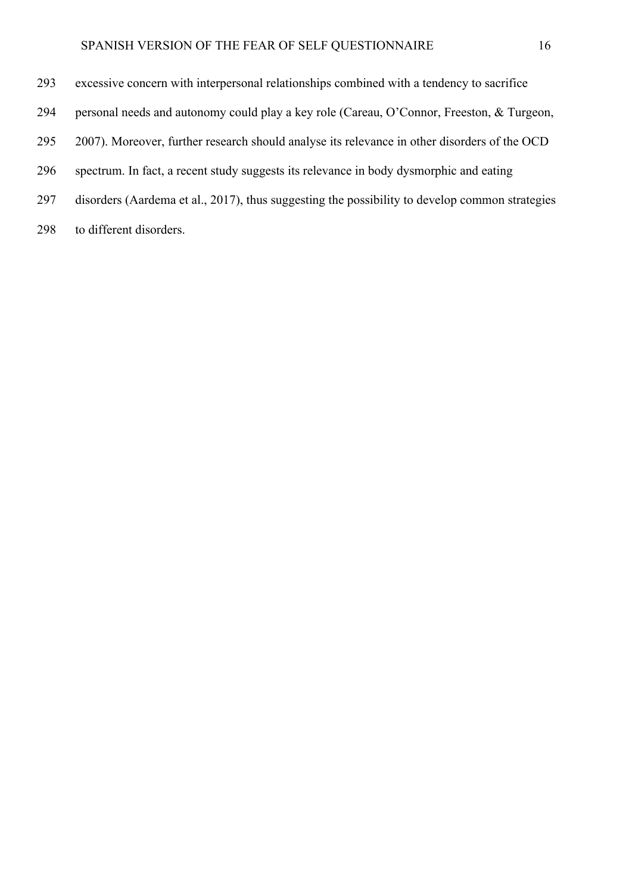- 293 excessive concern with interpersonal relationships combined with a tendency to sacrifice
- 294 personal needs and autonomy could play a key role (Careau, O'Connor, Freeston, & Turgeon,
- 295 2007). Moreover, further research should analyse its relevance in other disorders of the OCD
- 296 spectrum. In fact, a recent study suggests its relevance in body dysmorphic and eating
- 297 disorders (Aardema et al., 2017), thus suggesting the possibility to develop common strategies
- 298 to different disorders.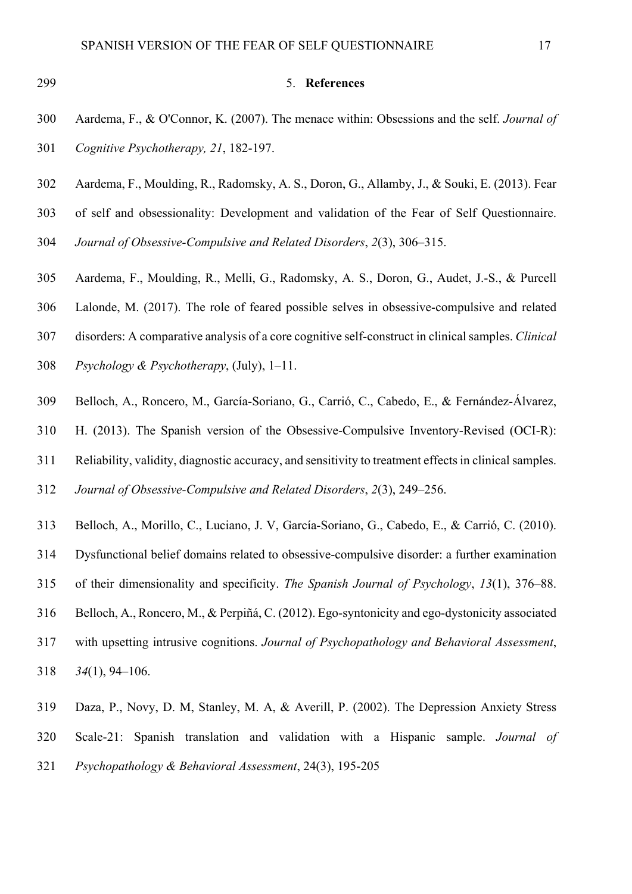#### 299 5. **References**

- 300 Aardema, F., & O'Connor, K. (2007). The menace within: Obsessions and the self. *Journal of*  301 *Cognitive Psychotherapy, 21*, 182-197.
- 302 Aardema, F., Moulding, R., Radomsky, A. S., Doron, G., Allamby, J., & Souki, E. (2013). Fear
- 303 of self and obsessionality: Development and validation of the Fear of Self Questionnaire.
- 304 *Journal of Obsessive-Compulsive and Related Disorders*, *2*(3), 306–315.
- 305 Aardema, F., Moulding, R., Melli, G., Radomsky, A. S., Doron, G., Audet, J.-S., & Purcell
- 306 Lalonde, M. (2017). The role of feared possible selves in obsessive-compulsive and related
- 307 disorders: A comparative analysis of a core cognitive self-construct in clinical samples. *Clinical*
- 308 *Psychology & Psychotherapy*, (July), 1–11.
- 309 Belloch, A., Roncero, M., García-Soriano, G., Carrió, C., Cabedo, E., & Fernández-Álvarez,
- 310 H. (2013). The Spanish version of the Obsessive-Compulsive Inventory-Revised (OCI-R):
- 311 Reliability, validity, diagnostic accuracy, and sensitivity to treatment effects in clinical samples.
- 312 *Journal of Obsessive-Compulsive and Related Disorders*, *2*(3), 249–256.
- 313 Belloch, A., Morillo, C., Luciano, J. V, García-Soriano, G., Cabedo, E., & Carrió, C. (2010).
- 314 Dysfunctional belief domains related to obsessive-compulsive disorder: a further examination
- 315 of their dimensionality and specificity. *The Spanish Journal of Psychology*, *13*(1), 376–88.
- 316 Belloch, A., Roncero, M., & Perpiñá, C. (2012). Ego-syntonicity and ego-dystonicity associated
- 317 with upsetting intrusive cognitions. *Journal of Psychopathology and Behavioral Assessment*,
- 318 *34*(1), 94–106.
- 319 Daza, P., Novy, D. M, Stanley, M. A, & Averill, P. (2002). The Depression Anxiety Stress 320 Scale-21: Spanish translation and validation with a Hispanic sample. *Journal of*  321 *Psychopathology & Behavioral Assessment*, 24(3), 195-205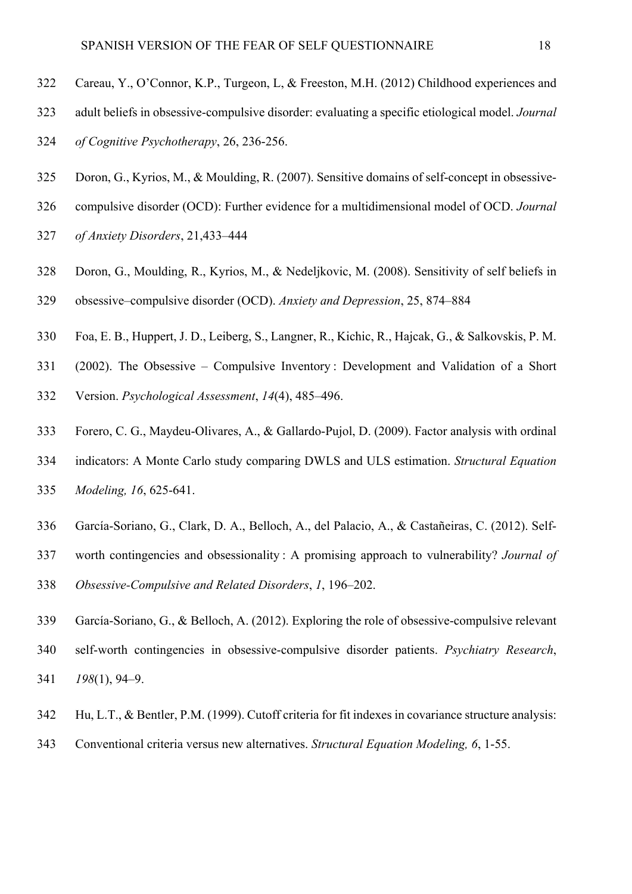- 322 Careau, Y., O'Connor, K.P., Turgeon, L, & Freeston, M.H. (2012) Childhood experiences and
- 323 adult beliefs in obsessive-compulsive disorder: evaluating a specific etiological model. *Journal*
- 324 *of Cognitive Psychotherapy*, 26, 236-256.
- 325 Doron, G., Kyrios, M., & Moulding, R. (2007). Sensitive domains of self-concept in obsessive-
- 326 compulsive disorder (OCD): Further evidence for a multidimensional model of OCD. *Journal*
- 327 *of Anxiety Disorders*, 21,433–444
- 328 Doron, G., Moulding, R., Kyrios, M., & Nedeljkovic, M. (2008). Sensitivity of self beliefs in
- 329 obsessive–compulsive disorder (OCD). *Anxiety and Depression*, 25, 874–884
- 330 Foa, E. B., Huppert, J. D., Leiberg, S., Langner, R., Kichic, R., Hajcak, G., & Salkovskis, P. M.
- 331 (2002). The Obsessive Compulsive Inventory : Development and Validation of a Short
- 332 Version. *Psychological Assessment*, *14*(4), 485–496.
- 333 Forero, C. G., Maydeu-Olivares, A., & Gallardo-Pujol, D. (2009). Factor analysis with ordinal 334 indicators: A Monte Carlo study comparing DWLS and ULS estimation. *Structural Equation*
- 335 *Modeling, 16*, 625-641.
- 336 García-Soriano, G., Clark, D. A., Belloch, A., del Palacio, A., & Castañeiras, C. (2012). Self-
- 337 worth contingencies and obsessionality : A promising approach to vulnerability? *Journal of*
- 338 *Obsessive-Compulsive and Related Disorders*, *1*, 196–202.
- 339 García-Soriano, G., & Belloch, A. (2012). Exploring the role of obsessive-compulsive relevant 340 self-worth contingencies in obsessive-compulsive disorder patients. *Psychiatry Research*, 341 *198*(1), 94–9.
- 342 Hu, L.T., & Bentler, P.M. (1999). Cutoff criteria for fit indexes in covariance structure analysis:
- 343 Conventional criteria versus new alternatives. *Structural Equation Modeling, 6*, 1-55.